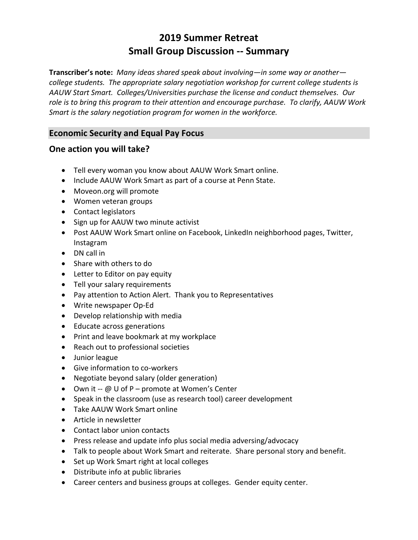# **2019 Summer Retreat Small Group Discussion -- Summary**

**Transcriber's note:** *Many ideas shared speak about involving—in some way or another college students. The appropriate salary negotiation workshop for current college students is AAUW Start Smart. Colleges/Universities purchase the license and conduct themselves. Our role is to bring this program to their attention and encourage purchase. To clarify, AAUW Work Smart is the salary negotiation program for women in the workforce.*

# **Economic Security and Equal Pay Focus**

## **One action you will take?**

- Tell every woman you know about AAUW Work Smart online.
- Include AAUW Work Smart as part of a course at Penn State.
- Moveon.org will promote
- Women veteran groups
- Contact legislators
- Sign up for AAUW two minute activist
- Post AAUW Work Smart online on Facebook, LinkedIn neighborhood pages, Twitter, Instagram
- DN call in
- Share with others to do
- Letter to Editor on pay equity
- Tell your salary requirements
- Pay attention to Action Alert. Thank you to Representatives
- Write newspaper Op-Ed
- Develop relationship with media
- Educate across generations
- Print and leave bookmark at my workplace
- Reach out to professional societies
- Junior league
- Give information to co-workers
- Negotiate beyond salary (older generation)
- Own it -- @ U of P promote at Women's Center
- Speak in the classroom (use as research tool) career development
- Take AAUW Work Smart online
- Article in newsletter
- Contact labor union contacts
- Press release and update info plus social media adversing/advocacy
- Talk to people about Work Smart and reiterate. Share personal story and benefit.
- Set up Work Smart right at local colleges
- Distribute info at public libraries
- Career centers and business groups at colleges. Gender equity center.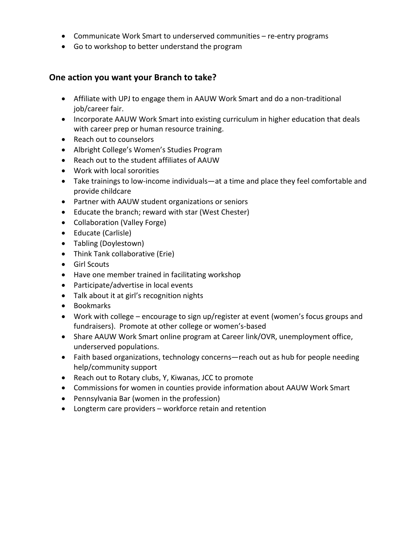- Communicate Work Smart to underserved communities re-entry programs
- Go to workshop to better understand the program

#### **One action you want your Branch to take?**

- Affiliate with UPJ to engage them in AAUW Work Smart and do a non-traditional job/career fair.
- Incorporate AAUW Work Smart into existing curriculum in higher education that deals with career prep or human resource training.
- Reach out to counselors
- Albright College's Women's Studies Program
- Reach out to the student affiliates of AAUW
- Work with local sororities
- Take trainings to low-income individuals—at a time and place they feel comfortable and provide childcare
- Partner with AAUW student organizations or seniors
- Educate the branch; reward with star (West Chester)
- Collaboration (Valley Forge)
- Educate (Carlisle)
- Tabling (Doylestown)
- Think Tank collaborative (Erie)
- Girl Scouts
- Have one member trained in facilitating workshop
- Participate/advertise in local events
- Talk about it at girl's recognition nights
- Bookmarks
- Work with college encourage to sign up/register at event (women's focus groups and fundraisers). Promote at other college or women's-based
- Share AAUW Work Smart online program at Career link/OVR, unemployment office, underserved populations.
- Faith based organizations, technology concerns—reach out as hub for people needing help/community support
- Reach out to Rotary clubs, Y, Kiwanas, JCC to promote
- Commissions for women in counties provide information about AAUW Work Smart
- Pennsylvania Bar (women in the profession)
- Longterm care providers workforce retain and retention